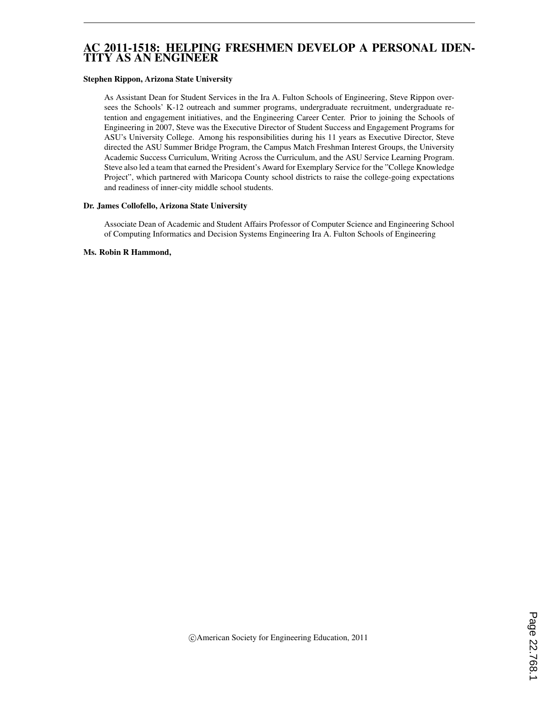## AC 2011-1518: HELPING FRESHMEN DEVELOP A PERSONAL IDEN-TITY AS AN ENGINEER

#### Stephen Rippon, Arizona State University

As Assistant Dean for Student Services in the Ira A. Fulton Schools of Engineering, Steve Rippon oversees the Schools' K-12 outreach and summer programs, undergraduate recruitment, undergraduate retention and engagement initiatives, and the Engineering Career Center. Prior to joining the Schools of Engineering in 2007, Steve was the Executive Director of Student Success and Engagement Programs for ASU's University College. Among his responsibilities during his 11 years as Executive Director, Steve directed the ASU Summer Bridge Program, the Campus Match Freshman Interest Groups, the University Academic Success Curriculum, Writing Across the Curriculum, and the ASU Service Learning Program. Steve also led a team that earned the President's Award for Exemplary Service for the "College Knowledge Project", which partnered with Maricopa County school districts to raise the college-going expectations and readiness of inner-city middle school students.

#### Dr. James Collofello, Arizona State University

Associate Dean of Academic and Student Affairs Professor of Computer Science and Engineering School of Computing Informatics and Decision Systems Engineering Ira A. Fulton Schools of Engineering

#### Ms. Robin R Hammond,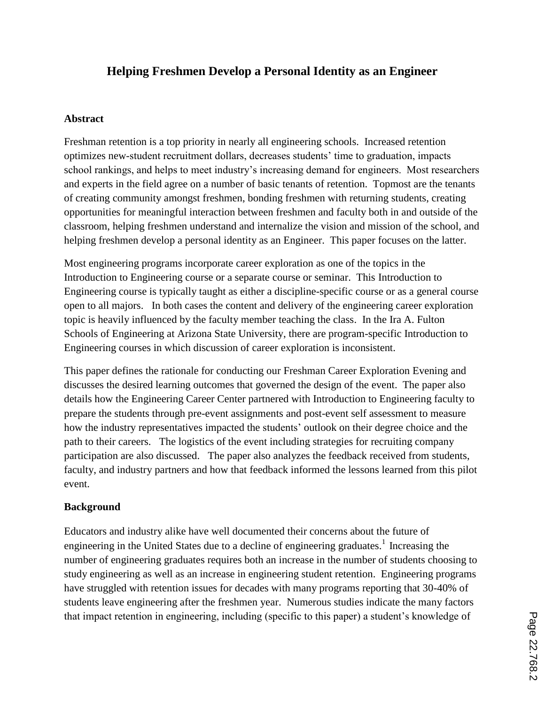# **Helping Freshmen Develop a Personal Identity as an Engineer**

#### **Abstract**

Freshman retention is a top priority in nearly all engineering schools. Increased retention optimizes new-student recruitment dollars, decreases students" time to graduation, impacts school rankings, and helps to meet industry"s increasing demand for engineers. Most researchers and experts in the field agree on a number of basic tenants of retention. Topmost are the tenants of creating community amongst freshmen, bonding freshmen with returning students, creating opportunities for meaningful interaction between freshmen and faculty both in and outside of the classroom, helping freshmen understand and internalize the vision and mission of the school, and helping freshmen develop a personal identity as an Engineer. This paper focuses on the latter.

Most engineering programs incorporate career exploration as one of the topics in the Introduction to Engineering course or a separate course or seminar. This Introduction to Engineering course is typically taught as either a discipline-specific course or as a general course open to all majors. In both cases the content and delivery of the engineering career exploration topic is heavily influenced by the faculty member teaching the class. In the Ira A. Fulton Schools of Engineering at Arizona State University, there are program-specific Introduction to Engineering courses in which discussion of career exploration is inconsistent.

This paper defines the rationale for conducting our Freshman Career Exploration Evening and discusses the desired learning outcomes that governed the design of the event. The paper also details how the Engineering Career Center partnered with Introduction to Engineering faculty to prepare the students through pre-event assignments and post-event self assessment to measure how the industry representatives impacted the students" outlook on their degree choice and the path to their careers. The logistics of the event including strategies for recruiting company participation are also discussed. The paper also analyzes the feedback received from students, faculty, and industry partners and how that feedback informed the lessons learned from this pilot event.

#### **Background**

Educators and industry alike have well documented their concerns about the future of engineering in the United States due to a decline of engineering graduates.<sup>1</sup> Increasing the number of engineering graduates requires both an increase in the number of students choosing to study engineering as well as an increase in engineering student retention. Engineering programs have struggled with retention issues for decades with many programs reporting that 30-40% of students leave engineering after the freshmen year. Numerous studies indicate the many factors that impact retention in engineering, including (specific to this paper) a student"s knowledge of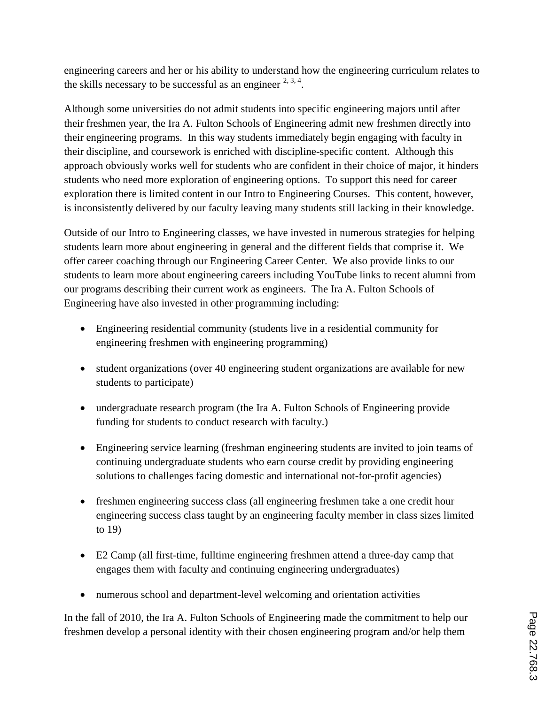engineering careers and her or his ability to understand how the engineering curriculum relates to the skills necessary to be successful as an engineer  $2, 3, 4$ .

Although some universities do not admit students into specific engineering majors until after their freshmen year, the Ira A. Fulton Schools of Engineering admit new freshmen directly into their engineering programs. In this way students immediately begin engaging with faculty in their discipline, and coursework is enriched with discipline-specific content. Although this approach obviously works well for students who are confident in their choice of major, it hinders students who need more exploration of engineering options. To support this need for career exploration there is limited content in our Intro to Engineering Courses. This content, however, is inconsistently delivered by our faculty leaving many students still lacking in their knowledge.

Outside of our Intro to Engineering classes, we have invested in numerous strategies for helping students learn more about engineering in general and the different fields that comprise it. We offer career coaching through our Engineering Career Center. We also provide links to our students to learn more about engineering careers including YouTube links to recent alumni from our programs describing their current work as engineers. The Ira A. Fulton Schools of Engineering have also invested in other programming including:

- Engineering residential community (students live in a residential community for engineering freshmen with engineering programming)
- student organizations (over 40 engineering student organizations are available for new students to participate)
- undergraduate research program (the Ira A. Fulton Schools of Engineering provide funding for students to conduct research with faculty.)
- Engineering service learning (freshman engineering students are invited to join teams of continuing undergraduate students who earn course credit by providing engineering solutions to challenges facing domestic and international not-for-profit agencies)
- freshmen engineering success class (all engineering freshmen take a one credit hour engineering success class taught by an engineering faculty member in class sizes limited to 19)
- E2 Camp (all first-time, fulltime engineering freshmen attend a three-day camp that engages them with faculty and continuing engineering undergraduates)
- numerous school and department-level welcoming and orientation activities

In the fall of 2010, the Ira A. Fulton Schools of Engineering made the commitment to help our freshmen develop a personal identity with their chosen engineering program and/or help them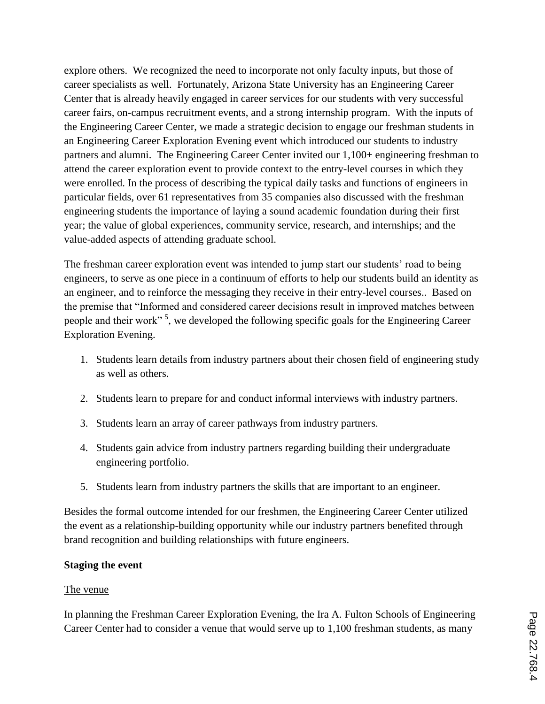explore others. We recognized the need to incorporate not only faculty inputs, but those of career specialists as well. Fortunately, Arizona State University has an Engineering Career Center that is already heavily engaged in career services for our students with very successful career fairs, on-campus recruitment events, and a strong internship program. With the inputs of the Engineering Career Center, we made a strategic decision to engage our freshman students in an Engineering Career Exploration Evening event which introduced our students to industry partners and alumni. The Engineering Career Center invited our 1,100+ engineering freshman to attend the career exploration event to provide context to the entry-level courses in which they were enrolled. In the process of describing the typical daily tasks and functions of engineers in particular fields, over 61 representatives from 35 companies also discussed with the freshman engineering students the importance of laying a sound academic foundation during their first year; the value of global experiences, community service, research, and internships; and the value-added aspects of attending graduate school.

The freshman career exploration event was intended to jump start our students" road to being engineers, to serve as one piece in a continuum of efforts to help our students build an identity as an engineer, and to reinforce the messaging they receive in their entry-level courses.. Based on the premise that "Informed and considered career decisions result in improved matches between people and their work"<sup>5</sup>, we developed the following specific goals for the Engineering Career Exploration Evening.

- 1. Students learn details from industry partners about their chosen field of engineering study as well as others.
- 2. Students learn to prepare for and conduct informal interviews with industry partners.
- 3. Students learn an array of career pathways from industry partners.
- 4. Students gain advice from industry partners regarding building their undergraduate engineering portfolio.
- 5. Students learn from industry partners the skills that are important to an engineer.

Besides the formal outcome intended for our freshmen, the Engineering Career Center utilized the event as a relationship-building opportunity while our industry partners benefited through brand recognition and building relationships with future engineers.

## **Staging the event**

## The venue

In planning the Freshman Career Exploration Evening, the Ira A. Fulton Schools of Engineering Career Center had to consider a venue that would serve up to 1,100 freshman students, as many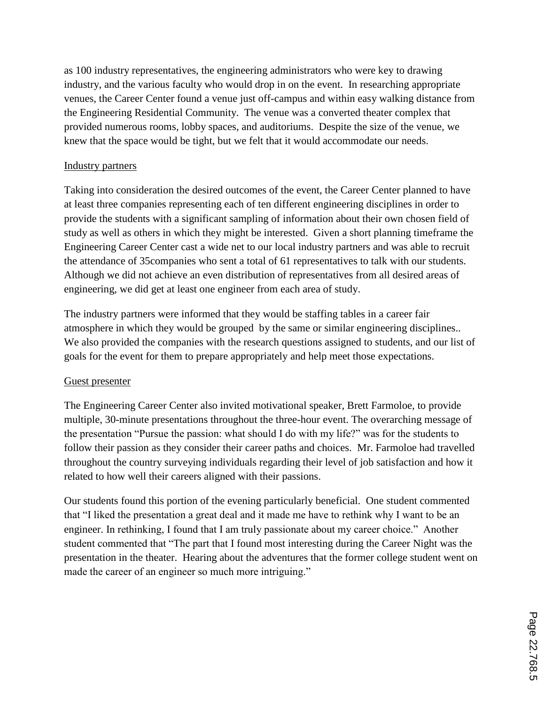as 100 industry representatives, the engineering administrators who were key to drawing industry, and the various faculty who would drop in on the event. In researching appropriate venues, the Career Center found a venue just off-campus and within easy walking distance from the Engineering Residential Community. The venue was a converted theater complex that provided numerous rooms, lobby spaces, and auditoriums. Despite the size of the venue, we knew that the space would be tight, but we felt that it would accommodate our needs.

#### Industry partners

Taking into consideration the desired outcomes of the event, the Career Center planned to have at least three companies representing each of ten different engineering disciplines in order to provide the students with a significant sampling of information about their own chosen field of study as well as others in which they might be interested. Given a short planning timeframe the Engineering Career Center cast a wide net to our local industry partners and was able to recruit the attendance of 35companies who sent a total of 61 representatives to talk with our students. Although we did not achieve an even distribution of representatives from all desired areas of engineering, we did get at least one engineer from each area of study.

The industry partners were informed that they would be staffing tables in a career fair atmosphere in which they would be grouped by the same or similar engineering disciplines.. We also provided the companies with the research questions assigned to students, and our list of goals for the event for them to prepare appropriately and help meet those expectations.

## Guest presenter

The Engineering Career Center also invited motivational speaker, Brett Farmoloe, to provide multiple, 30-minute presentations throughout the three-hour event. The overarching message of the presentation "Pursue the passion: what should I do with my life?" was for the students to follow their passion as they consider their career paths and choices. Mr. Farmoloe had travelled throughout the country surveying individuals regarding their level of job satisfaction and how it related to how well their careers aligned with their passions.

Our students found this portion of the evening particularly beneficial. One student commented that "I liked the presentation a great deal and it made me have to rethink why I want to be an engineer. In rethinking, I found that I am truly passionate about my career choice." Another student commented that "The part that I found most interesting during the Career Night was the presentation in the theater. Hearing about the adventures that the former college student went on made the career of an engineer so much more intriguing."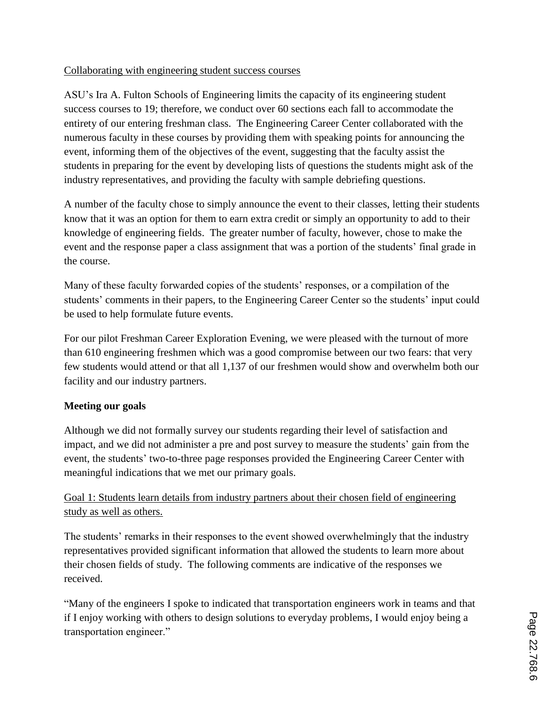## Collaborating with engineering student success courses

ASU"s Ira A. Fulton Schools of Engineering limits the capacity of its engineering student success courses to 19; therefore, we conduct over 60 sections each fall to accommodate the entirety of our entering freshman class. The Engineering Career Center collaborated with the numerous faculty in these courses by providing them with speaking points for announcing the event, informing them of the objectives of the event, suggesting that the faculty assist the students in preparing for the event by developing lists of questions the students might ask of the industry representatives, and providing the faculty with sample debriefing questions.

A number of the faculty chose to simply announce the event to their classes, letting their students know that it was an option for them to earn extra credit or simply an opportunity to add to their knowledge of engineering fields. The greater number of faculty, however, chose to make the event and the response paper a class assignment that was a portion of the students' final grade in the course.

Many of these faculty forwarded copies of the students' responses, or a compilation of the students' comments in their papers, to the Engineering Career Center so the students' input could be used to help formulate future events.

For our pilot Freshman Career Exploration Evening, we were pleased with the turnout of more than 610 engineering freshmen which was a good compromise between our two fears: that very few students would attend or that all 1,137 of our freshmen would show and overwhelm both our facility and our industry partners.

# **Meeting our goals**

Although we did not formally survey our students regarding their level of satisfaction and impact, and we did not administer a pre and post survey to measure the students' gain from the event, the students' two-to-three page responses provided the Engineering Career Center with meaningful indications that we met our primary goals.

# Goal 1: Students learn details from industry partners about their chosen field of engineering study as well as others.

The students' remarks in their responses to the event showed overwhelmingly that the industry representatives provided significant information that allowed the students to learn more about their chosen fields of study. The following comments are indicative of the responses we received.

"Many of the engineers I spoke to indicated that transportation engineers work in teams and that if I enjoy working with others to design solutions to everyday problems, I would enjoy being a transportation engineer."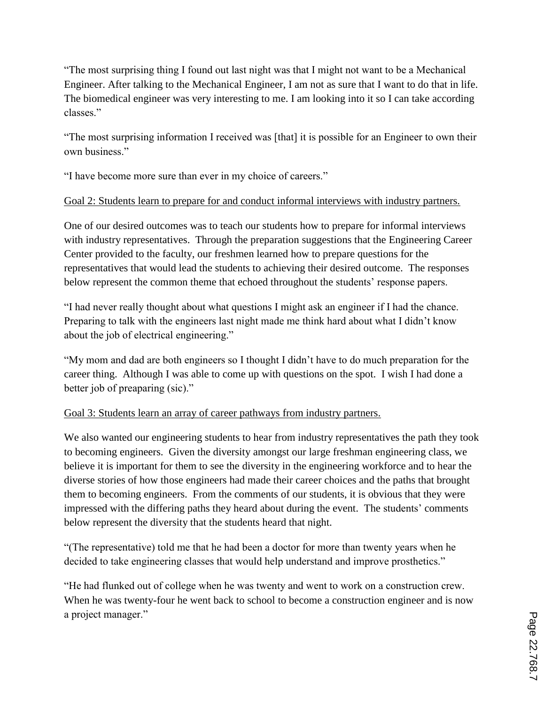"The most surprising thing I found out last night was that I might not want to be a Mechanical Engineer. After talking to the Mechanical Engineer, I am not as sure that I want to do that in life. The biomedical engineer was very interesting to me. I am looking into it so I can take according classes."

"The most surprising information I received was [that] it is possible for an Engineer to own their own business."

"I have become more sure than ever in my choice of careers."

# Goal 2: Students learn to prepare for and conduct informal interviews with industry partners.

One of our desired outcomes was to teach our students how to prepare for informal interviews with industry representatives. Through the preparation suggestions that the Engineering Career Center provided to the faculty, our freshmen learned how to prepare questions for the representatives that would lead the students to achieving their desired outcome. The responses below represent the common theme that echoed throughout the students' response papers.

"I had never really thought about what questions I might ask an engineer if I had the chance. Preparing to talk with the engineers last night made me think hard about what I didn"t know about the job of electrical engineering."

"My mom and dad are both engineers so I thought I didn"t have to do much preparation for the career thing. Although I was able to come up with questions on the spot. I wish I had done a better job of preaparing (sic)."

## Goal 3: Students learn an array of career pathways from industry partners.

We also wanted our engineering students to hear from industry representatives the path they took to becoming engineers. Given the diversity amongst our large freshman engineering class, we believe it is important for them to see the diversity in the engineering workforce and to hear the diverse stories of how those engineers had made their career choices and the paths that brought them to becoming engineers. From the comments of our students, it is obvious that they were impressed with the differing paths they heard about during the event. The students' comments below represent the diversity that the students heard that night.

"(The representative) told me that he had been a doctor for more than twenty years when he decided to take engineering classes that would help understand and improve prosthetics."

"He had flunked out of college when he was twenty and went to work on a construction crew. When he was twenty-four he went back to school to become a construction engineer and is now a project manager."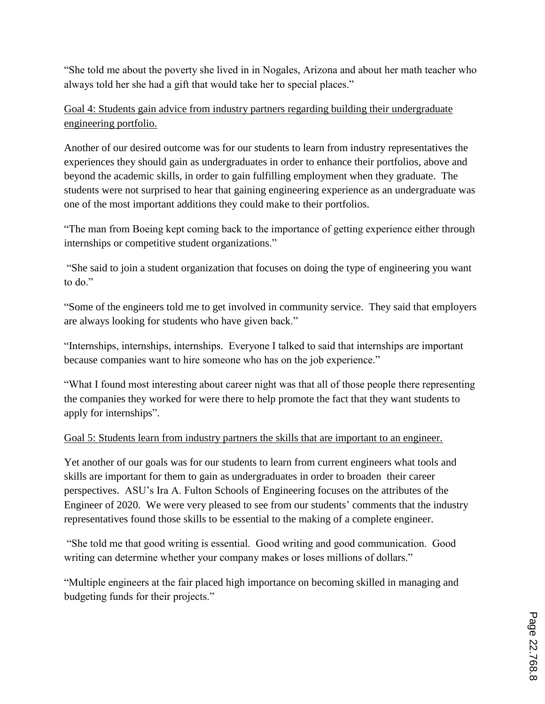"She told me about the poverty she lived in in Nogales, Arizona and about her math teacher who always told her she had a gift that would take her to special places."

# Goal 4: Students gain advice from industry partners regarding building their undergraduate engineering portfolio.

Another of our desired outcome was for our students to learn from industry representatives the experiences they should gain as undergraduates in order to enhance their portfolios, above and beyond the academic skills, in order to gain fulfilling employment when they graduate. The students were not surprised to hear that gaining engineering experience as an undergraduate was one of the most important additions they could make to their portfolios.

"The man from Boeing kept coming back to the importance of getting experience either through internships or competitive student organizations."

"She said to join a student organization that focuses on doing the type of engineering you want to do."

"Some of the engineers told me to get involved in community service. They said that employers are always looking for students who have given back."

"Internships, internships, internships. Everyone I talked to said that internships are important because companies want to hire someone who has on the job experience."

"What I found most interesting about career night was that all of those people there representing the companies they worked for were there to help promote the fact that they want students to apply for internships".

# Goal 5: Students learn from industry partners the skills that are important to an engineer.

Yet another of our goals was for our students to learn from current engineers what tools and skills are important for them to gain as undergraduates in order to broaden their career perspectives. ASU"s Ira A. Fulton Schools of Engineering focuses on the attributes of the Engineer of 2020. We were very pleased to see from our students' comments that the industry representatives found those skills to be essential to the making of a complete engineer.

"She told me that good writing is essential. Good writing and good communication. Good writing can determine whether your company makes or loses millions of dollars."

"Multiple engineers at the fair placed high importance on becoming skilled in managing and budgeting funds for their projects."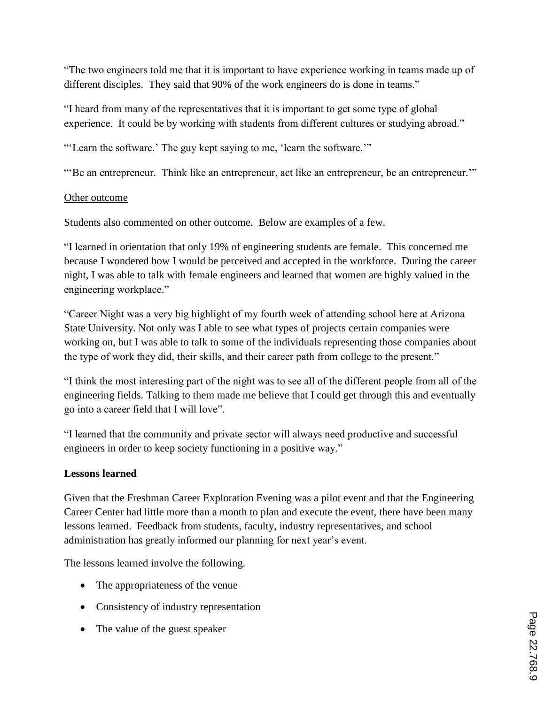"The two engineers told me that it is important to have experience working in teams made up of different disciples. They said that 90% of the work engineers do is done in teams."

"I heard from many of the representatives that it is important to get some type of global experience. It could be by working with students from different cultures or studying abroad."

""Learn the software." The guy kept saying to me, "learn the software.""

""Be an entrepreneur. Think like an entrepreneur, act like an entrepreneur, be an entrepreneur.""

## Other outcome

Students also commented on other outcome. Below are examples of a few.

"I learned in orientation that only 19% of engineering students are female. This concerned me because I wondered how I would be perceived and accepted in the workforce. During the career night, I was able to talk with female engineers and learned that women are highly valued in the engineering workplace."

"Career Night was a very big highlight of my fourth week of attending school here at Arizona State University. Not only was I able to see what types of projects certain companies were working on, but I was able to talk to some of the individuals representing those companies about the type of work they did, their skills, and their career path from college to the present."

"I think the most interesting part of the night was to see all of the different people from all of the engineering fields. Talking to them made me believe that I could get through this and eventually go into a career field that I will love".

"I learned that the community and private sector will always need productive and successful engineers in order to keep society functioning in a positive way."

## **Lessons learned**

Given that the Freshman Career Exploration Evening was a pilot event and that the Engineering Career Center had little more than a month to plan and execute the event, there have been many lessons learned. Feedback from students, faculty, industry representatives, and school administration has greatly informed our planning for next year's event.

The lessons learned involve the following.

- The appropriateness of the venue
- Consistency of industry representation
- The value of the guest speaker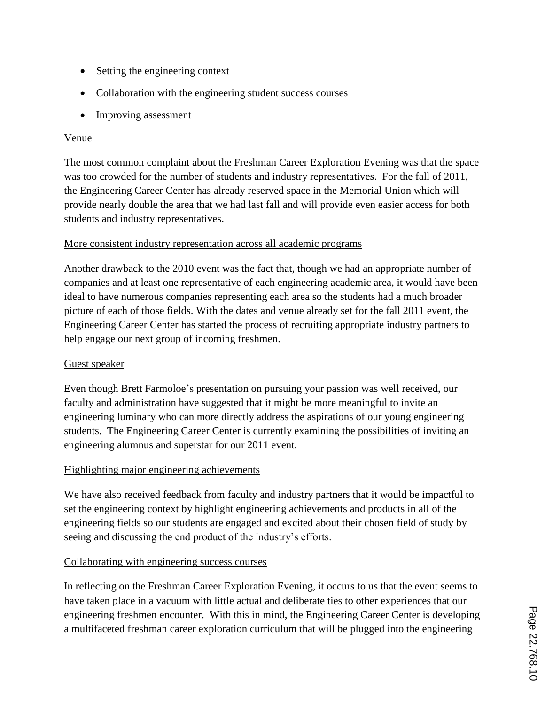- Setting the engineering context
- Collaboration with the engineering student success courses
- Improving assessment

#### Venue

The most common complaint about the Freshman Career Exploration Evening was that the space was too crowded for the number of students and industry representatives. For the fall of 2011, the Engineering Career Center has already reserved space in the Memorial Union which will provide nearly double the area that we had last fall and will provide even easier access for both students and industry representatives.

#### More consistent industry representation across all academic programs

Another drawback to the 2010 event was the fact that, though we had an appropriate number of companies and at least one representative of each engineering academic area, it would have been ideal to have numerous companies representing each area so the students had a much broader picture of each of those fields. With the dates and venue already set for the fall 2011 event, the Engineering Career Center has started the process of recruiting appropriate industry partners to help engage our next group of incoming freshmen.

## Guest speaker

Even though Brett Farmoloe"s presentation on pursuing your passion was well received, our faculty and administration have suggested that it might be more meaningful to invite an engineering luminary who can more directly address the aspirations of our young engineering students. The Engineering Career Center is currently examining the possibilities of inviting an engineering alumnus and superstar for our 2011 event.

## Highlighting major engineering achievements

We have also received feedback from faculty and industry partners that it would be impactful to set the engineering context by highlight engineering achievements and products in all of the engineering fields so our students are engaged and excited about their chosen field of study by seeing and discussing the end product of the industry's efforts.

## Collaborating with engineering success courses

In reflecting on the Freshman Career Exploration Evening, it occurs to us that the event seems to have taken place in a vacuum with little actual and deliberate ties to other experiences that our engineering freshmen encounter. With this in mind, the Engineering Career Center is developing a multifaceted freshman career exploration curriculum that will be plugged into the engineering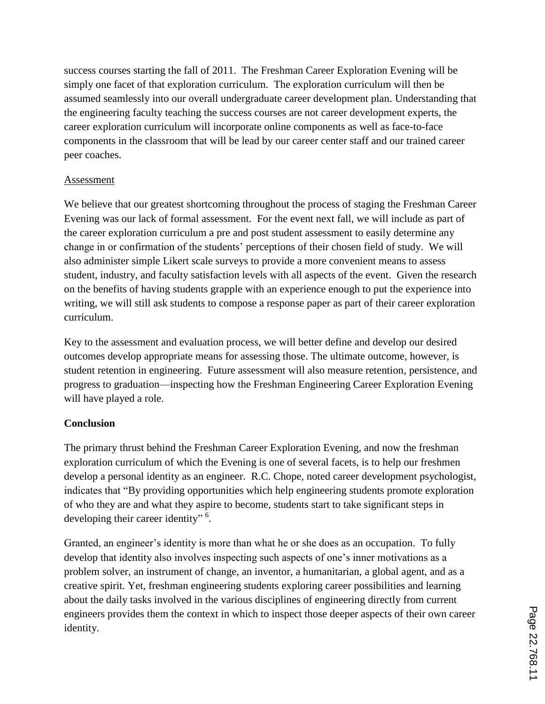success courses starting the fall of 2011. The Freshman Career Exploration Evening will be simply one facet of that exploration curriculum. The exploration curriculum will then be assumed seamlessly into our overall undergraduate career development plan. Understanding that the engineering faculty teaching the success courses are not career development experts, the career exploration curriculum will incorporate online components as well as face-to-face components in the classroom that will be lead by our career center staff and our trained career peer coaches.

#### Assessment

We believe that our greatest shortcoming throughout the process of staging the Freshman Career Evening was our lack of formal assessment. For the event next fall, we will include as part of the career exploration curriculum a pre and post student assessment to easily determine any change in or confirmation of the students" perceptions of their chosen field of study. We will also administer simple Likert scale surveys to provide a more convenient means to assess student, industry, and faculty satisfaction levels with all aspects of the event. Given the research on the benefits of having students grapple with an experience enough to put the experience into writing, we will still ask students to compose a response paper as part of their career exploration curriculum.

Key to the assessment and evaluation process, we will better define and develop our desired outcomes develop appropriate means for assessing those. The ultimate outcome, however, is student retention in engineering. Future assessment will also measure retention, persistence, and progress to graduation—inspecting how the Freshman Engineering Career Exploration Evening will have played a role.

#### **Conclusion**

The primary thrust behind the Freshman Career Exploration Evening, and now the freshman exploration curriculum of which the Evening is one of several facets, is to help our freshmen develop a personal identity as an engineer. R.C. Chope, noted career development psychologist, indicates that "By providing opportunities which help engineering students promote exploration of who they are and what they aspire to become, students start to take significant steps in developing their career identity"<sup>6</sup>.

Granted, an engineer's identity is more than what he or she does as an occupation. To fully develop that identity also involves inspecting such aspects of one's inner motivations as a problem solver, an instrument of change, an inventor, a humanitarian, a global agent, and as a creative spirit. Yet, freshman engineering students exploring career possibilities and learning about the daily tasks involved in the various disciplines of engineering directly from current engineers provides them the context in which to inspect those deeper aspects of their own career identity.